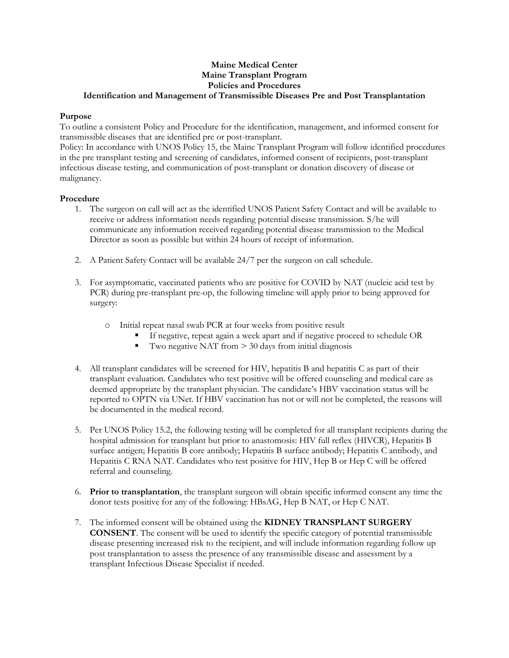## **Maine Medical Center Maine Transplant Program Policies and Procedures Identification and Management of Transmissible Diseases Pre and Post Transplantation**

## **Purpose**

To outline a consistent Policy and Procedure for the identification, management, and informed consent for transmissible diseases that are identified pre or post-transplant.

Policy: In accordance with UNOS Policy 15, the Maine Transplant Program will follow identified procedures in the pre transplant testing and screening of candidates, informed consent of recipients, post-transplant infectious disease testing, and communication of post-transplant or donation discovery of disease or malignancy.

## **Procedure**

- 1. The surgeon on call will act as the identified UNOS Patient Safety Contact and will be available to receive or address information needs regarding potential disease transmission. S/he will communicate any information received regarding potential disease transmission to the Medical Director as soon as possible but within 24 hours of receipt of information.
- 2. A Patient Safety Contact will be available 24/7 per the surgeon on call schedule.
- 3. For asymptomatic, vaccinated patients who are positive for COVID by NAT (nucleic acid test by PCR) during pre-transplant pre-op, the following timeline will apply prior to being approved for surgery:
	- o Initial repeat nasal swab PCR at four weeks from positive result
		- If negative, repeat again a week apart and if negative proceed to schedule OR
		- Two negative NAT from  $> 30$  days from initial diagnosis
- 4. All transplant candidates will be screened for HIV, hepatitis B and hepatitis C as part of their transplant evaluation. Candidates who test positive will be offered counseling and medical care as deemed appropriate by the transplant physician. The candidate's HBV vaccination status will be reported to OPTN via UNet. If HBV vaccination has not or will not be completed, the reasons will be documented in the medical record.
- 5. Per UNOS Policy 15.2, the following testing will be completed for all transplant recipients during the hospital admission for transplant but prior to anastomosis: HIV full reflex (HIVCR), Hepatitis B surface antigen; Hepatitis B core antibody; Hepatitis B surface antibody; Hepatitis C antibody, and Hepatitis C RNA NAT. Candidates who test positive for HIV, Hep B or Hep C will be offered referral and counseling.
- 6. **Prior to transplantation**, the transplant surgeon will obtain specific informed consent any time the donor tests positive for any of the following: HBsAG, Hep B NAT, or Hep C NAT.
- 7. The informed consent will be obtained using the **KIDNEY TRANSPLANT SURGERY CONSENT**. The consent will be used to identify the specific category of potential transmissible disease presenting increased risk to the recipient, and will include information regarding follow up post transplantation to assess the presence of any transmissible disease and assessment by a transplant Infectious Disease Specialist if needed.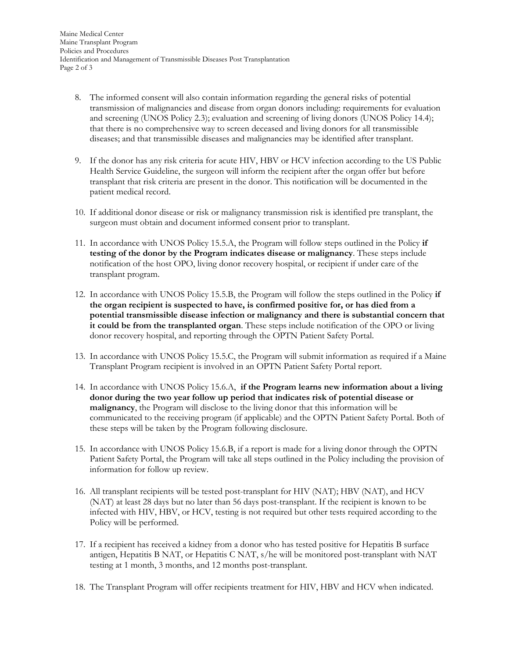- 8. The informed consent will also contain information regarding the general risks of potential transmission of malignancies and disease from organ donors including: requirements for evaluation and screening (UNOS Policy 2.3); evaluation and screening of living donors (UNOS Policy 14.4); that there is no comprehensive way to screen deceased and living donors for all transmissible diseases; and that transmissible diseases and malignancies may be identified after transplant.
- 9. If the donor has any risk criteria for acute HIV, HBV or HCV infection according to the US Public Health Service Guideline, the surgeon will inform the recipient after the organ offer but before transplant that risk criteria are present in the donor. This notification will be documented in the patient medical record.
- 10. If additional donor disease or risk or malignancy transmission risk is identified pre transplant, the surgeon must obtain and document informed consent prior to transplant.
- 11. In accordance with UNOS Policy 15.5.A, the Program will follow steps outlined in the Policy **if testing of the donor by the Program indicates disease or malignancy**. These steps include notification of the host OPO, living donor recovery hospital, or recipient if under care of the transplant program.
- 12. In accordance with UNOS Policy 15.5.B, the Program will follow the steps outlined in the Policy **if the organ recipient is suspected to have, is confirmed positive for, or has died from a potential transmissible disease infection or malignancy and there is substantial concern that it could be from the transplanted organ**. These steps include notification of the OPO or living donor recovery hospital, and reporting through the OPTN Patient Safety Portal.
- 13. In accordance with UNOS Policy 15.5.C, the Program will submit information as required if a Maine Transplant Program recipient is involved in an OPTN Patient Safety Portal report.
- 14. In accordance with UNOS Policy 15.6.A, **if the Program learns new information about a living donor during the two year follow up period that indicates risk of potential disease or malignancy**, the Program will disclose to the living donor that this information will be communicated to the receiving program (if applicable) and the OPTN Patient Safety Portal. Both of these steps will be taken by the Program following disclosure.
- 15. In accordance with UNOS Policy 15.6.B, if a report is made for a living donor through the OPTN Patient Safety Portal, the Program will take all steps outlined in the Policy including the provision of information for follow up review.
- 16. All transplant recipients will be tested post-transplant for HIV (NAT); HBV (NAT), and HCV (NAT) at least 28 days but no later than 56 days post-transplant. If the recipient is known to be infected with HIV, HBV, or HCV, testing is not required but other tests required according to the Policy will be performed.
- 17. If a recipient has received a kidney from a donor who has tested positive for Hepatitis B surface antigen, Hepatitis B NAT, or Hepatitis C NAT, s/he will be monitored post-transplant with NAT testing at 1 month, 3 months, and 12 months post-transplant.
- 18. The Transplant Program will offer recipients treatment for HIV, HBV and HCV when indicated.